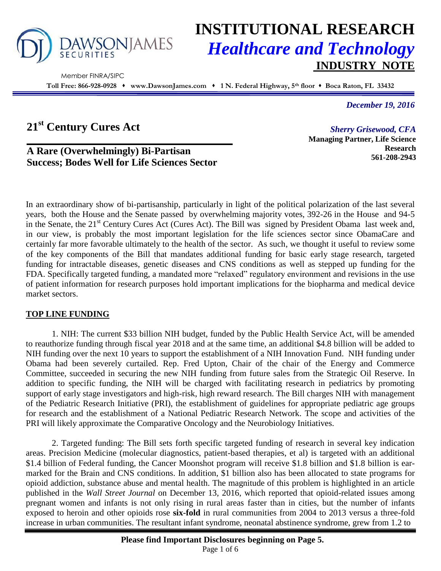

Member FINRA/SIPC

# **INSTITUTIONAL RESEARCH** *Healthcare and Technology* **INDUSTRY NOTE**

**Toll Free: 866-928-0928 www.DawsonJames.com 1 N. Federal Highway, 5th floor Boca Raton, FL 33432**

*December 19, 2016*

# **21st Century Cures Act**

*Sherry Grisewood, CFA* **Managing Partner, Life Science Research 561-208-2943**

# **A Rare (Overwhelmingly) Bi-Partisan Success; Bodes Well for Life Sciences Sector**

In an extraordinary show of bi-partisanship, particularly in light of the political polarization of the last several years, both the House and the Senate passed by overwhelming majority votes, 392-26 in the House and 94-5 in the Senate, the 21<sup>st</sup> Century Cures Act (Cures Act). The Bill was signed by President Obama last week and, in our view, is probably the most important legislation for the life sciences sector since ObamaCare and certainly far more favorable ultimately to the health of the sector. As such, we thought it useful to review some of the key components of the Bill that mandates additional funding for basic early stage research, targeted funding for intractable diseases, genetic diseases and CNS conditions as well as stepped up funding for the FDA. Specifically targeted funding, a mandated more "relaxed" regulatory environment and revisions in the use of patient information for research purposes hold important implications for the biopharma and medical device market sectors.

## **TOP LINE FUNDING**

1. NIH: The current \$33 billion NIH budget, funded by the Public Health Service Act, will be amended to reauthorize funding through fiscal year 2018 and at the same time, an additional \$4.8 billion will be added to NIH funding over the next 10 years to support the establishment of a NIH Innovation Fund. NIH funding under Obama had been severely curtailed. Rep. Fred Upton, Chair of the chair of the Energy and Commerce Committee, succeeded in securing the new NIH funding from future sales from the Strategic Oil Reserve. In addition to specific funding, the NIH will be charged with facilitating research in pediatrics by promoting support of early stage investigators and high-risk, high reward research. The Bill charges NIH with management of the Pediatric Research Initiative (PRI), the establishment of guidelines for appropriate pediatric age groups for research and the establishment of a National Pediatric Research Network. The scope and activities of the PRI will likely approximate the Comparative Oncology and the Neurobiology Initiatives.

2. Targeted funding: The Bill sets forth specific targeted funding of research in several key indication areas. Precision Medicine (molecular diagnostics, patient-based therapies, et al) is targeted with an additional \$1.4 billion of Federal funding, the Cancer Moonshot program will receive \$1.8 billion and \$1.8 billion is earmarked for the Brain and CNS conditions. In addition, \$1 billion also has been allocated to state programs for opioid addiction, substance abuse and mental health. The magnitude of this problem is highlighted in an article published in the *Wall Street Journal* on December 13, 2016, which reported that opioid-related issues among pregnant women and infants is not only rising in rural areas faster than in cities, but the number of infants exposed to heroin and other opioids rose **six-fold** in rural communities from 2004 to 2013 versus a three-fold increase in urban communities. The resultant infant syndrome, neonatal abstinence syndrome, grew from 1.2 to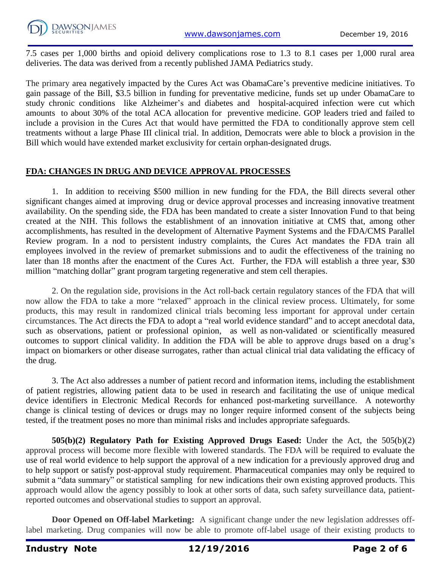

7.5 cases per 1,000 births and opioid delivery complications rose to 1.3 to 8.1 cases per 1,000 rural area deliveries. The data was derived from a recently published JAMA Pediatrics study.

The primary area negatively impacted by the Cures Act was ObamaCare's preventive medicine initiatives. To gain passage of the Bill, \$3.5 billion in funding for preventative medicine, funds set up under ObamaCare to study chronic conditions like Alzheimer's and diabetes and hospital-acquired infection were cut which amounts to about 30% of the total ACA allocation for preventive medicine. GOP leaders tried and failed to include a provision in the Cures Act that would have permitted the FDA to conditionally approve stem cell treatments without a large Phase III clinical trial. In addition, Democrats were able to block a provision in the Bill which would have extended market exclusivity for certain orphan-designated drugs.

### **FDA: CHANGES IN DRUG AND DEVICE APPROVAL PROCESSES**

1. In addition to receiving \$500 million in new funding for the FDA, the Bill directs several other significant changes aimed at improving drug or device approval processes and increasing innovative treatment availability. On the spending side, the FDA has been mandated to create a sister Innovation Fund to that being created at the NIH. This follows the establishment of an innovation initiative at CMS that, among other accomplishments, has resulted in the development of Alternative Payment Systems and the FDA/CMS Parallel Review program. In a nod to persistent industry complaints, the Cures Act mandates the FDA train all employees involved in the review of premarket submissions and to audit the effectiveness of the training no later than 18 months after the enactment of the Cures Act. Further, the FDA will establish a three year, \$30 million "matching dollar" grant program targeting regenerative and stem cell therapies.

2. On the regulation side, provisions in the Act roll-back certain regulatory stances of the FDA that will now allow the FDA to take a more "relaxed" approach in the clinical review process. Ultimately, for some products, this may result in randomized clinical trials becoming less important for approval under certain circumstances. The Act directs the FDA to adopt a "real world evidence standard" and to accept anecdotal data, such as observations, patient or professional opinion, as well as non-validated or scientifically measured outcomes to support clinical validity. In addition the FDA will be able to approve drugs based on a drug's impact on biomarkers or other disease surrogates, rather than actual clinical trial data validating the efficacy of the drug.

3. The Act also addresses a number of patient record and information items, including the establishment of patient registries, allowing patient data to be used in research and facilitating the use of unique medical device identifiers in Electronic Medical Records for enhanced post-marketing surveillance. A noteworthy change is clinical testing of devices or drugs may no longer require informed consent of the subjects being tested, if the treatment poses no more than minimal risks and includes appropriate safeguards.

**505(b)(2) Regulatory Path for Existing Approved Drugs Eased:** Under the Act, the 505(b)(2) approval process will become more flexible with lowered standards. The FDA will be required to evaluate the use of real world evidence to help support the approval of a new indication for a previously approved drug and to help support or satisfy post-approval study requirement. Pharmaceutical companies may only be required to submit a "data summary" or statistical sampling for new indications their own existing approved products. This approach would allow the agency possibly to look at other sorts of data, such safety surveillance data, patientreported outcomes and observational studies to support an approval.

**Door Opened on Off-label Marketing:** A significant change under the new legislation addresses offlabel marketing. Drug companies will now be able to promote off-label usage of their existing products to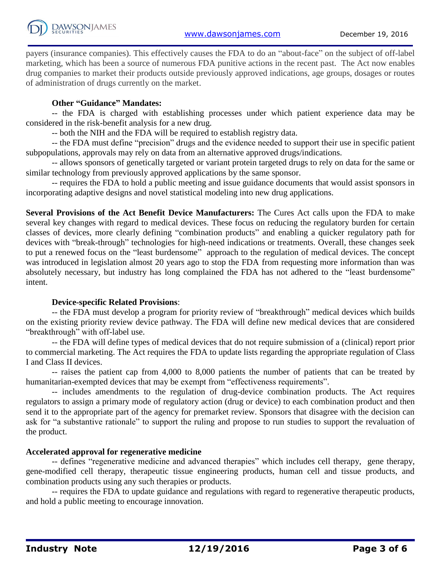payers (insurance companies). This effectively causes the FDA to do an "about-face" on the subject of off-label marketing, which has been a source of numerous FDA punitive actions in the recent past. The Act now enables drug companies to market their products outside previously approved indications, age groups, dosages or routes of administration of drugs currently on the market.

### **Other "Guidance" Mandates:**

-- the FDA is charged with establishing processes under which patient experience data may be considered in the risk-benefit analysis for a new drug.

-- both the NIH and the FDA will be required to establish registry data.

-- the FDA must define "precision" drugs and the evidence needed to support their use in specific patient subpopulations, approvals may rely on data from an alternative approved drugs/indications.

-- allows sponsors of genetically targeted or variant protein targeted drugs to rely on data for the same or similar technology from previously approved applications by the same sponsor.

-- requires the FDA to hold a public meeting and issue guidance documents that would assist sponsors in incorporating adaptive designs and novel statistical modeling into new drug applications.

**Several Provisions of the Act Benefit Device Manufacturers:** The Cures Act calls upon the FDA to make several key changes with regard to medical devices. These focus on reducing the regulatory burden for certain classes of devices, more clearly defining "combination products" and enabling a quicker regulatory path for devices with "break-through" technologies for high-need indications or treatments. Overall, these changes seek to put a renewed focus on the "least burdensome" approach to the regulation of medical devices. The concept was introduced in legislation almost 20 years ago to stop the FDA from requesting more information than was absolutely necessary, but industry has long complained the FDA has not adhered to the "least burdensome" intent.

### **Device-specific Related Provisions**:

-- the FDA must develop a program for priority review of "breakthrough" medical devices which builds on the existing priority review device pathway. The FDA will define new medical devices that are considered "breakthrough" with off-label use.

-- the FDA will define types of medical devices that do not require submission of a (clinical) report prior to commercial marketing. The Act requires the FDA to update lists regarding the appropriate regulation of Class I and Class II devices.

-- raises the patient cap from 4,000 to 8,000 patients the number of patients that can be treated by humanitarian-exempted devices that may be exempt from "effectiveness requirements".

-- includes amendments to the regulation of drug-device combination products. The Act requires regulators to assign a primary mode of regulatory action (drug or device) to each combination product and then send it to the appropriate part of the agency for premarket review. Sponsors that disagree with the decision can ask for "a substantive rationale" to support the ruling and propose to run studies to support the revaluation of the product.

### **Accelerated approval for regenerative medicine**

-- defines "regenerative medicine and advanced therapies" which includes cell therapy, gene therapy, gene-modified cell therapy, therapeutic tissue engineering products, human cell and tissue products, and combination products using any such therapies or products.

-- requires the FDA to update guidance and regulations with regard to regenerative therapeutic products, and hold a public meeting to encourage innovation.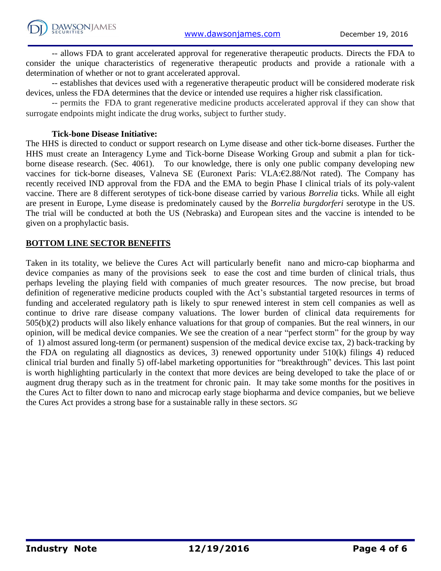

-- allows FDA to grant accelerated approval for regenerative therapeutic products. Directs the FDA to consider the unique characteristics of regenerative therapeutic products and provide a rationale with a determination of whether or not to grant accelerated approval.

-- establishes that devices used with a regenerative therapeutic product will be considered moderate risk devices, unless the FDA determines that the device or intended use requires a higher risk classification.

-- permits the FDA to grant regenerative medicine products accelerated approval if they can show that surrogate endpoints might indicate the drug works, subject to further study.

#### **Tick-bone Disease Initiative:**

The HHS is directed to conduct or support research on Lyme disease and other tick-borne diseases. Further the HHS must create an Interagency Lyme and Tick-borne Disease Working Group and submit a plan for tickborne disease research. (Sec. 4061). To our knowledge, there is only one public company developing new vaccines for tick-borne diseases, Valneva SE (Euronext Paris: VLA:€2.88/Not rated). The Company has recently received IND approval from the FDA and the EMA to begin Phase I clinical trials of its poly-valent vaccine. There are 8 different serotypes of tick-bone disease carried by various *Borrelia* ticks. While all eight are present in Europe, Lyme disease is predominately caused by the *Borrelia burgdorferi* serotype in the US. The trial will be conducted at both the US (Nebraska) and European sites and the vaccine is intended to be given on a prophylactic basis.

#### **BOTTOM LINE SECTOR BENEFITS**

Taken in its totality, we believe the Cures Act will particularly benefit nano and micro-cap biopharma and device companies as many of the provisions seek to ease the cost and time burden of clinical trials, thus perhaps leveling the playing field with companies of much greater resources. The now precise, but broad definition of regenerative medicine products coupled with the Act's substantial targeted resources in terms of funding and accelerated regulatory path is likely to spur renewed interest in stem cell companies as well as continue to drive rare disease company valuations. The lower burden of clinical data requirements for 505(b)(2) products will also likely enhance valuations for that group of companies. But the real winners, in our opinion, will be medical device companies. We see the creation of a near "perfect storm" for the group by way of 1) almost assured long-term (or permanent) suspension of the medical device excise tax, 2) back-tracking by the FDA on regulating all diagnostics as devices, 3) renewed opportunity under 510(k) filings 4) reduced clinical trial burden and finally 5) off-label marketing opportunities for "breakthrough" devices. This last point is worth highlighting particularly in the context that more devices are being developed to take the place of or augment drug therapy such as in the treatment for chronic pain. It may take some months for the positives in the Cures Act to filter down to nano and microcap early stage biopharma and device companies, but we believe the Cures Act provides a strong base for a sustainable rally in these sectors. *SG*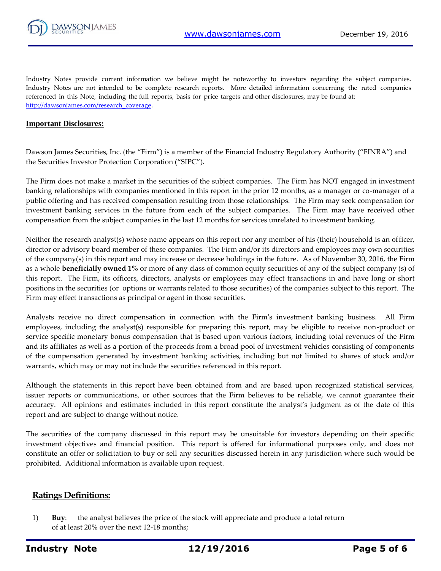

Industry Notes provide current information we believe might be noteworthy to investors regarding the subject companies. Industry Notes are not intended to be complete research reports. More detailed information concerning the rated companies referenced in this Note, including the full reports, basis for price targets and other disclosures, may be found at: [http://dawsonjames.com/research\\_coverage.](http://dawsonjames.com/research_coverage)

#### **Important Disclosures:**

Dawson James Securities, Inc. (the "Firm") is a member of the Financial Industry Regulatory Authority ("FINRA") and the Securities Investor Protection Corporation ("SIPC").

The Firm does not make a market in the securities of the subject companies. The Firm has NOT engaged in investment banking relationships with companies mentioned in this report in the prior 12 months, as a manager or co-manager of a public offering and has received compensation resulting from those relationships. The Firm may seek compensation for investment banking services in the future from each of the subject companies. The Firm may have received other compensation from the subject companies in the last 12 months for services unrelated to investment banking.

Neither the research analyst(s) whose name appears on this report nor any member of his (their) household is an officer, director or advisory board member of these companies. The Firm and/or its directors and employees may own securities of the company(s) in this report and may increase or decrease holdings in the future. As of November 30, 2016, the Firm as a whole **beneficially owned 1%** or more of any class of common equity securities of any of the subject company (s) of this report. The Firm, its officers, directors, analysts or employees may effect transactions in and have long or short positions in the securities (or options or warrants related to those securities) of the companies subject to this report. The Firm may effect transactions as principal or agent in those securities.

Analysts receive no direct compensation in connection with the Firm's investment banking business. All Firm employees, including the analyst(s) responsible for preparing this report, may be eligible to receive non-product or service specific monetary bonus compensation that is based upon various factors, including total revenues of the Firm and its affiliates as well as a portion of the proceeds from a broad pool of investment vehicles consisting of components of the compensation generated by investment banking activities, including but not limited to shares of stock and/or warrants, which may or may not include the securities referenced in this report.

Although the statements in this report have been obtained from and are based upon recognized statistical services, issuer reports or communications, or other sources that the Firm believes to be reliable, we cannot guarantee their accuracy. All opinions and estimates included in this report constitute the analyst's judgment as of the date of this report and are subject to change without notice.

The securities of the company discussed in this report may be unsuitable for investors depending on their specific investment objectives and financial position. This report is offered for informational purposes only, and does not constitute an offer or solicitation to buy or sell any securities discussed herein in any jurisdiction where such would be prohibited. Additional information is available upon request.

#### **Ratings Definitions:**

1) **Buy**: the analyst believes the price of the stock will appreciate and produce a total return of at least 20% over the next 12-18 months;